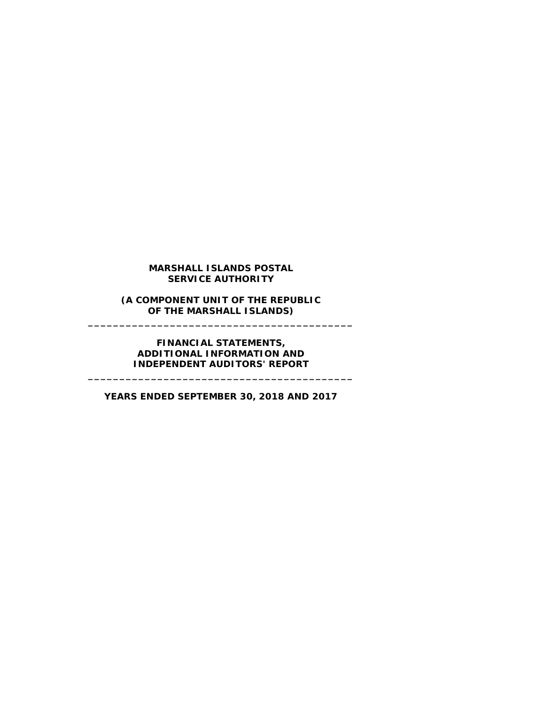**(A COMPONENT UNIT OF THE REPUBLIC OF THE MARSHALL ISLANDS) \_\_\_\_\_\_\_\_\_\_\_\_\_\_\_\_\_\_\_\_\_\_\_\_\_\_\_\_\_\_\_\_\_\_\_\_\_\_\_\_\_\_**

# **FINANCIAL STATEMENTS, ADDITIONAL INFORMATION AND INDEPENDENT AUDITORS' REPORT**

**\_\_\_\_\_\_\_\_\_\_\_\_\_\_\_\_\_\_\_\_\_\_\_\_\_\_\_\_\_\_\_\_\_\_\_\_\_\_\_\_\_\_**

**YEARS ENDED SEPTEMBER 30, 2018 AND 2017**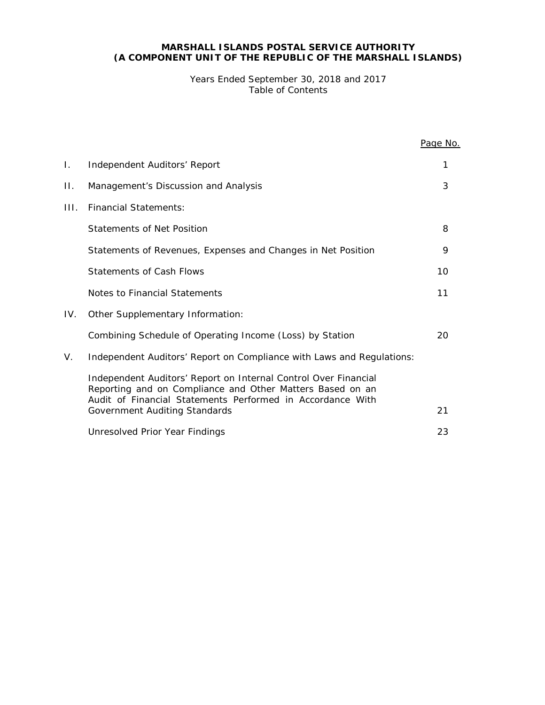# **MARSHALL ISLANDS POSTAL SERVICE AUTHORITY (A COMPONENT UNIT OF THE REPUBLIC OF THE MARSHALL ISLANDS)**

Years Ended September 30, 2018 and 2017 Table of Contents

|     |                                                                                                                                                                                            | Page No. |
|-----|--------------------------------------------------------------------------------------------------------------------------------------------------------------------------------------------|----------|
| Ι.  | Independent Auditors' Report                                                                                                                                                               | 1        |
| П.  | Management's Discussion and Analysis                                                                                                                                                       | 3        |
| HL. | <b>Financial Statements:</b>                                                                                                                                                               |          |
|     | Statements of Net Position                                                                                                                                                                 | 8        |
|     | Statements of Revenues, Expenses and Changes in Net Position                                                                                                                               | 9        |
|     | <b>Statements of Cash Flows</b>                                                                                                                                                            | 10       |
|     | Notes to Financial Statements                                                                                                                                                              | 11       |
| IV. | Other Supplementary Information:                                                                                                                                                           |          |
|     | Combining Schedule of Operating Income (Loss) by Station                                                                                                                                   | 20       |
| V.  | Independent Auditors' Report on Compliance with Laws and Regulations:                                                                                                                      |          |
|     | Independent Auditors' Report on Internal Control Over Financial<br>Reporting and on Compliance and Other Matters Based on an<br>Audit of Financial Statements Performed in Accordance With |          |
|     | <b>Government Auditing Standards</b>                                                                                                                                                       | 21       |
|     | Unresolved Prior Year Findings                                                                                                                                                             | 23       |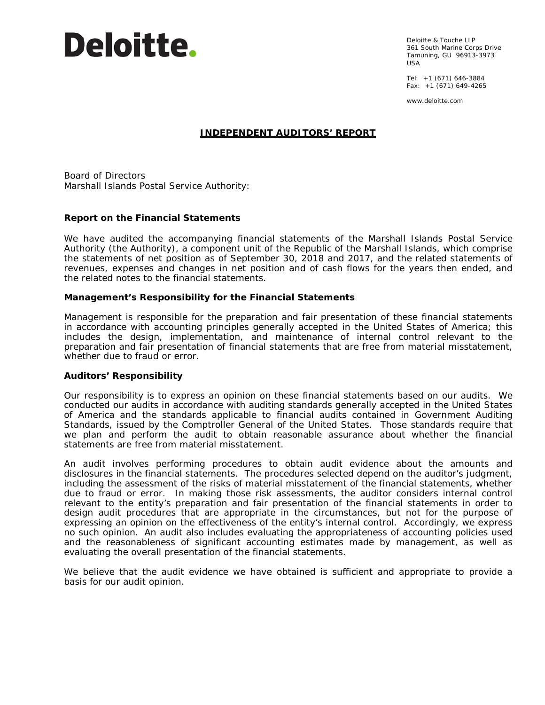

Deloitte & Touche LLP 361 South Marine Corps Drive Tamuning, GU 96913-3973 USA

Tel: +1 (671) 646-3884 Fax: +1 (671) 649-4265

www.deloitte.com

# **INDEPENDENT AUDITORS' REPORT**

Board of Directors Marshall Islands Postal Service Authority:

## **Report on the Financial Statements**

We have audited the accompanying financial statements of the Marshall Islands Postal Service Authority (the Authority), a component unit of the Republic of the Marshall Islands, which comprise the statements of net position as of September 30, 2018 and 2017, and the related statements of revenues, expenses and changes in net position and of cash flows for the years then ended, and the related notes to the financial statements.

## *Management's Responsibility for the Financial Statements*

Management is responsible for the preparation and fair presentation of these financial statements in accordance with accounting principles generally accepted in the United States of America; this includes the design, implementation, and maintenance of internal control relevant to the preparation and fair presentation of financial statements that are free from material misstatement, whether due to fraud or error.

## *Auditors' Responsibility*

Our responsibility is to express an opinion on these financial statements based on our audits. We conducted our audits in accordance with auditing standards generally accepted in the United States of America and the standards applicable to financial audits contained in *Government Auditing Standards,* issued by the Comptroller General of the United States. Those standards require that we plan and perform the audit to obtain reasonable assurance about whether the financial statements are free from material misstatement.

An audit involves performing procedures to obtain audit evidence about the amounts and disclosures in the financial statements. The procedures selected depend on the auditor's judgment, including the assessment of the risks of material misstatement of the financial statements, whether due to fraud or error. In making those risk assessments, the auditor considers internal control relevant to the entity's preparation and fair presentation of the financial statements in order to design audit procedures that are appropriate in the circumstances, but not for the purpose of expressing an opinion on the effectiveness of the entity's internal control. Accordingly, we express no such opinion. An audit also includes evaluating the appropriateness of accounting policies used and the reasonableness of significant accounting estimates made by management, as well as evaluating the overall presentation of the financial statements.

We believe that the audit evidence we have obtained is sufficient and appropriate to provide a basis for our audit opinion.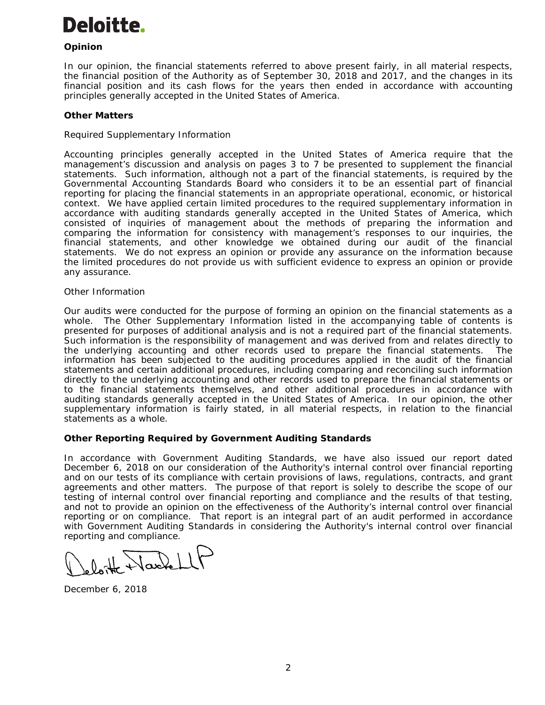# **Deloitte**

# *Opinion*

In our opinion, the financial statements referred to above present fairly, in all material respects, the financial position of the Authority as of September 30, 2018 and 2017, and the changes in its financial position and its cash flows for the years then ended in accordance with accounting principles generally accepted in the United States of America.

# *Other Matters*

# *Required Supplementary Information*

Accounting principles generally accepted in the United States of America require that the management's discussion and analysis on pages 3 to 7 be presented to supplement the financial statements. Such information, although not a part of the financial statements, is required by the Governmental Accounting Standards Board who considers it to be an essential part of financial reporting for placing the financial statements in an appropriate operational, economic, or historical context. We have applied certain limited procedures to the required supplementary information in accordance with auditing standards generally accepted in the United States of America, which consisted of inquiries of management about the methods of preparing the information and comparing the information for consistency with management's responses to our inquiries, the financial statements, and other knowledge we obtained during our audit of the financial statements. We do not express an opinion or provide any assurance on the information because the limited procedures do not provide us with sufficient evidence to express an opinion or provide any assurance.

# *Other Information*

Our audits were conducted for the purpose of forming an opinion on the financial statements as a whole. The Other Supplementary Information listed in the accompanying table of contents is presented for purposes of additional analysis and is not a required part of the financial statements. Such information is the responsibility of management and was derived from and relates directly to the underlying accounting and other records used to prepare the financial statements. The information has been subjected to the auditing procedures applied in the audit of the financial statements and certain additional procedures, including comparing and reconciling such information directly to the underlying accounting and other records used to prepare the financial statements or to the financial statements themselves, and other additional procedures in accordance with auditing standards generally accepted in the United States of America. In our opinion, the other supplementary information is fairly stated, in all material respects, in relation to the financial statements as a whole.

# **Other Reporting Required by** *Government Auditing Standards*

In accordance with *Government Auditing Standards*, we have also issued our report dated December 6, 2018 on our consideration of the Authority's internal control over financial reporting and on our tests of its compliance with certain provisions of laws, regulations, contracts, and grant agreements and other matters. The purpose of that report is solely to describe the scope of our testing of internal control over financial reporting and compliance and the results of that testing, and not to provide an opinion on the effectiveness of the Authority's internal control over financial reporting or on compliance. That report is an integral part of an audit performed in accordance with *Government Auditing Standards* in considering the Authority's internal control over financial reporting and compliance.

December 6, 2018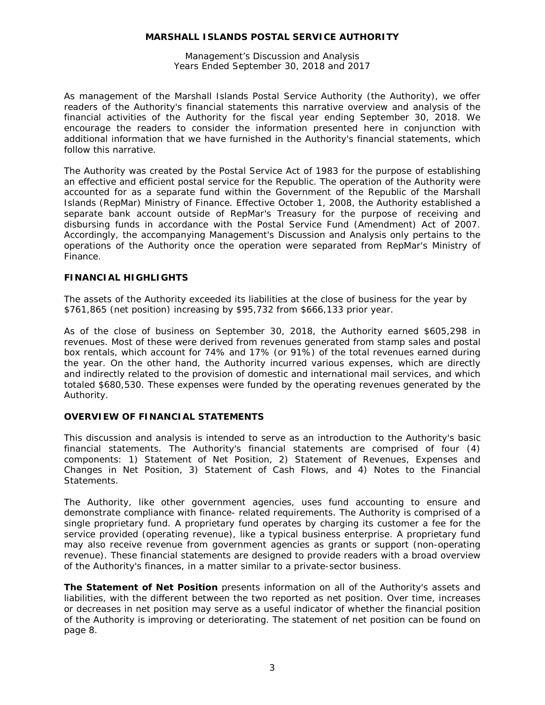Management's Discussion and Analysis Years Ended September 30, 2018 and 2017

As management of the Marshall Islands Postal Service Authority (the Authority), we offer readers of the Authority's financial statements this narrative overview and analysis of the financial activities of the Authority for the fiscal year ending September 30, 2018. We encourage the readers to consider the information presented here in conjunction with additional information that we have furnished in the Authority's financial statements, which follow this narrative.

The Authority was created by the Postal Service Act of 1983 for the purpose of establishing an effective and efficient postal service for the Republic. The operation of the Authority were accounted for as a separate fund within the Government of the Republic of the Marshall Islands (RepMar) Ministry of Finance. Effective October 1, 2008, the Authority established a separate bank account outside of RepMar's Treasury for the purpose of receiving and disbursing funds in accordance with the Postal Service Fund (Amendment) Act of 2007. Accordingly, the accompanying Management's Discussion and Analysis only pertains to the operations of the Authority once the operation were separated from RepMar's Ministry of Finance.

# **FINANCIAL HIGHLIGHTS**

The assets of the Authority exceeded its liabilities at the close of business for the year by \$761,865 (net position) increasing by \$95,732 from \$666,133 prior year.

As of the close of business on September 30, 2018, the Authority earned \$605,298 in revenues. Most of these were derived from revenues generated from stamp sales and postal box rentals, which account for 74% and 17% (or 91%) of the total revenues earned during the year. On the other hand, the Authority incurred various expenses, which are directly and indirectly related to the provision of domestic and international mail services, and which totaled \$680,530. These expenses were funded by the operating revenues generated by the Authority.

# **OVERVIEW OF FINANCIAL STATEMENTS**

This discussion and analysis is intended to serve as an introduction to the Authority's basic financial statements. The Authority's financial statements are comprised of four (4) components: 1) Statement of Net Position, 2) Statement of Revenues, Expenses and Changes in Net Position, 3) Statement of Cash Flows, and 4) Notes to the Financial Statements.

The Authority, like other government agencies, uses fund accounting to ensure and demonstrate compliance with finance- related requirements. The Authority is comprised of a single proprietary fund. A proprietary fund operates by charging its customer a fee for the service provided (operating revenue), like a typical business enterprise. A proprietary fund may also receive revenue from government agencies as grants or support (non-operating revenue). These financial statements are designed to provide readers with a broad overview of the Authority's finances, in a matter similar to a private-sector business.

**The Statement of Net Position** presents information on all of the Authority's assets and liabilities, with the different between the two reported as net position. Over time, increases or decreases in net position may serve as a useful indicator of whether the financial position of the Authority is improving or deteriorating. The statement of net position can be found on page 8.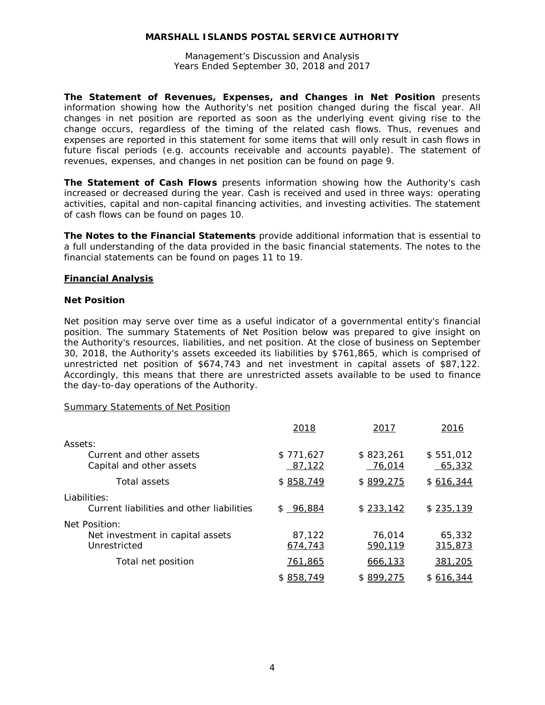Management's Discussion and Analysis Years Ended September 30, 2018 and 2017

**The Statement of Revenues, Expenses, and Changes in Net Position** presents information showing how the Authority's net position changed during the fiscal year. All changes in net position are reported as soon as the underlying event giving rise to the change occurs, regardless of the timing of the related cash flows. Thus, revenues and expenses are reported in this statement for some items that will only result in cash flows in future fiscal periods (e.g. accounts receivable and accounts payable). The statement of revenues, expenses, and changes in net position can be found on page 9.

**The Statement of Cash Flows** presents information showing how the Authority's cash increased or decreased during the year. Cash is received and used in three ways: operating activities, capital and non-capital financing activities, and investing activities. The statement of cash flows can be found on pages 10.

**The Notes to the Financial Statements** provide additional information that is essential to a full understanding of the data provided in the basic financial statements. The notes to the financial statements can be found on pages 11 to 19.

# **Financial Analysis**

# **Net Position**

Net position may serve over time as a useful indicator of a governmental entity's financial position. The summary Statements of Net Position below was prepared to give insight on the Authority's resources, liabilities, and net position. At the close of business on September 30, 2018, the Authority's assets exceeded its liabilities by \$761,865, which is comprised of unrestricted net position of \$674,743 and net investment in capital assets of \$87,122. Accordingly, this means that there are unrestricted assets available to be used to finance the day-to-day operations of the Authority.

## Summary Statements of Net Position

|                                                                   | 2018                | 2017                | 2016                |
|-------------------------------------------------------------------|---------------------|---------------------|---------------------|
| Assets:                                                           |                     |                     |                     |
| Current and other assets<br>Capital and other assets              | \$771,627<br>87,122 | \$823,261<br>76,014 | \$551,012<br>65,332 |
| Total assets                                                      | \$858,749           | \$899,275           | \$616,344           |
| Liabilities:<br>Current liabilities and other liabilities         | \$96,884            | \$233,142           | \$235,139           |
| Net Position:<br>Net investment in capital assets<br>Unrestricted | 87,122<br>674,743   | 76.014<br>590,119   | 65,332<br>315,873   |
| Total net position                                                | 761,865             | <u>666,133</u>      | 381,205             |
|                                                                   | \$858,749           | \$899,275           | \$616.344           |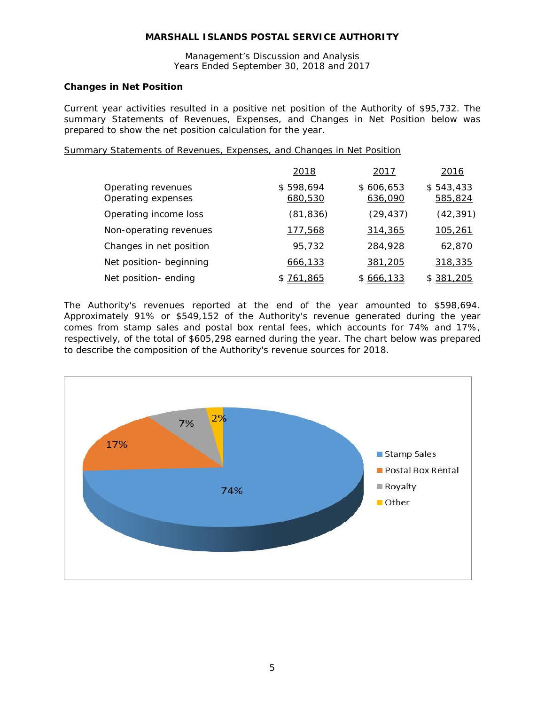Management's Discussion and Analysis Years Ended September 30, 2018 and 2017

# **Changes in Net Position**

Current year activities resulted in a positive net position of the Authority of \$95,732. The summary Statements of Revenues, Expenses, and Changes in Net Position below was prepared to show the net position calculation for the year.

Summary Statements of Revenues, Expenses, and Changes in Net Position

|                                          | 2018                 | 2017                 | 2016                 |
|------------------------------------------|----------------------|----------------------|----------------------|
| Operating revenues<br>Operating expenses | \$598,694<br>680,530 | \$606,653<br>636,090 | \$543,433<br>585,824 |
| Operating income loss                    | (81, 836)            | (29, 437)            | (42, 391)            |
| Non-operating revenues                   | <u>177,568</u>       | <u>314,365</u>       | 105,261              |
| Changes in net position                  | 95.732               | 284,928              | 62,870               |
| Net position- beginning                  | 666,133              | 381,205              | <u>318,335</u>       |
| Net position-ending                      | <u>761,865</u>       | \$666,133            | \$381,205            |

The Authority's revenues reported at the end of the year amounted to \$598,694. Approximately 91% or \$549,152 of the Authority's revenue generated during the year comes from stamp sales and postal box rental fees, which accounts for 74% and 17%, respectively, of the total of \$605,298 earned during the year. The chart below was prepared to describe the composition of the Authority's revenue sources for 2018.

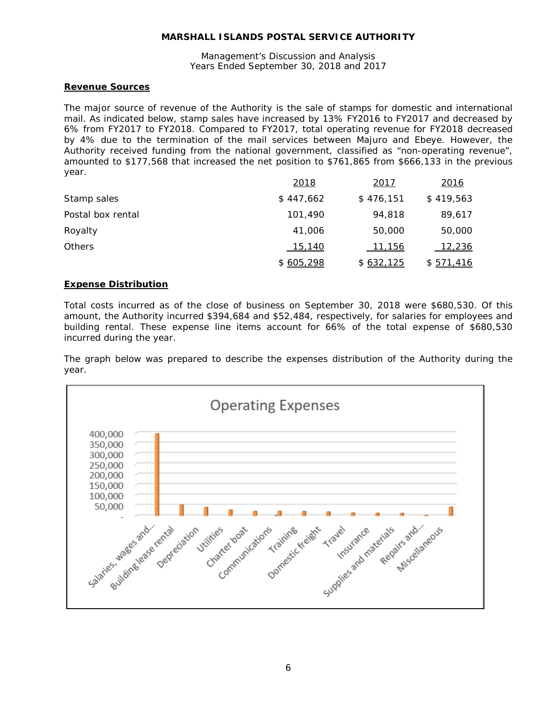### Management's Discussion and Analysis Years Ended September 30, 2018 and 2017

# **Revenue Sources**

The major source of revenue of the Authority is the sale of stamps for domestic and international mail. As indicated below, stamp sales have increased by 13% FY2016 to FY2017 and decreased by 6% from FY2017 to FY2018. Compared to FY2017, total operating revenue for FY2018 decreased by 4% due to the termination of the mail services between Majuro and Ebeye. However, the Authority received funding from the national government, classified as "non-operating revenue", amounted to \$177,568 that increased the net position to \$761,865 from \$666,133 in the previous year.

|                   | 2018      | 2017      | 2016       |
|-------------------|-----------|-----------|------------|
| Stamp sales       | \$447,662 | \$476,151 | \$419,563  |
| Postal box rental | 101,490   | 94.818    | 89,617     |
| Royalty           | 41,006    | 50,000    | 50,000     |
| <b>Others</b>     | 15,140    | 11,156    | 12,236     |
|                   | \$605,298 | \$632,125 | \$ 571,416 |

# **Expense Distribution**

Total costs incurred as of the close of business on September 30, 2018 were \$680,530. Of this amount, the Authority incurred \$394,684 and \$52,484, respectively, for salaries for employees and building rental. These expense line items account for 66% of the total expense of \$680,530 incurred during the year.

The graph below was prepared to describe the expenses distribution of the Authority during the year.

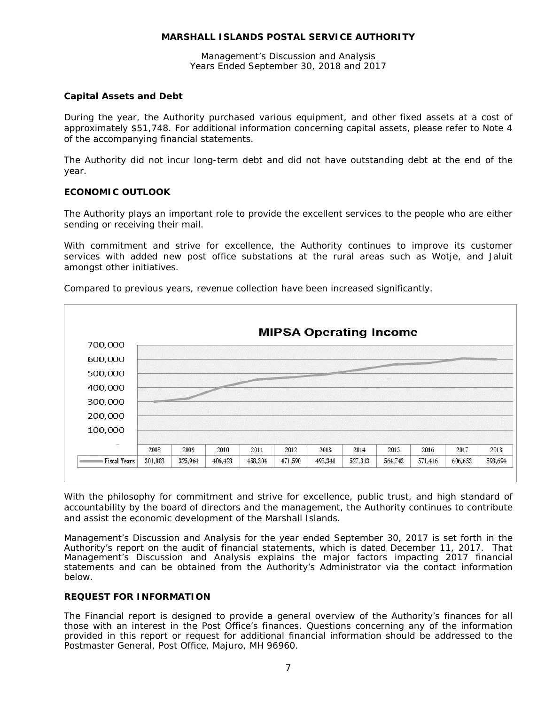Management's Discussion and Analysis Years Ended September 30, 2018 and 2017

# **Capital Assets and Debt**

During the year, the Authority purchased various equipment, and other fixed assets at a cost of approximately \$51,748. For additional information concerning capital assets, please refer to Note 4 of the accompanying financial statements.

The Authority did not incur long-term debt and did not have outstanding debt at the end of the year.

# **ECONOMIC OUTLOOK**

The Authority plays an important role to provide the excellent services to the people who are either sending or receiving their mail.

With commitment and strive for excellence, the Authority continues to improve its customer services with added new post office substations at the rural areas such as Wotje, and Jaluit amongst other initiatives.



Compared to previous years, revenue collection have been increased significantly.

With the philosophy for commitment and strive for excellence, public trust, and high standard of accountability by the board of directors and the management, the Authority continues to contribute and assist the economic development of the Marshall Islands.

Management's Discussion and Analysis for the year ended September 30, 2017 is set forth in the Authority's report on the audit of financial statements, which is dated December 11, 2017. That Management's Discussion and Analysis explains the major factors impacting 2017 financial statements and can be obtained from the Authority's Administrator via the contact information below.

# **REQUEST FOR INFORMATION**

The Financial report is designed to provide a general overview of the Authority's finances for all those with an interest in the Post Office's finances. Questions concerning any of the information provided in this report or request for additional financial information should be addressed to the Postmaster General, Post Office, Majuro, MH 96960.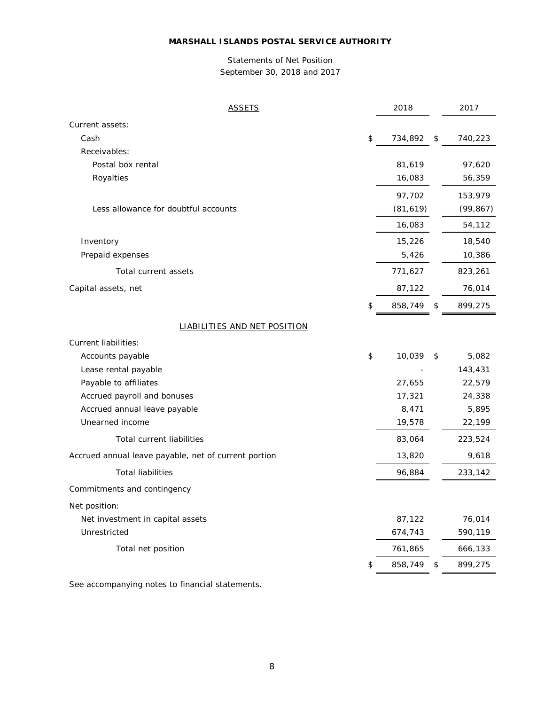# Statements of Net Position September 30, 2018 and 2017

| <u>ASSETS</u>                                        | 2018          | 2017          |
|------------------------------------------------------|---------------|---------------|
| Current assets:                                      |               |               |
| Cash                                                 | \$<br>734,892 | \$<br>740,223 |
| Receivables:                                         |               |               |
| Postal box rental                                    | 81,619        | 97,620        |
| Royalties                                            | 16,083        | 56,359        |
|                                                      | 97,702        | 153,979       |
| Less allowance for doubtful accounts                 | (81, 619)     | (99, 867)     |
|                                                      | 16,083        | 54,112        |
| Inventory                                            | 15,226        | 18,540        |
| Prepaid expenses                                     | 5,426         | 10,386        |
| Total current assets                                 | 771,627       | 823,261       |
| Capital assets, net                                  | 87,122        | 76,014        |
|                                                      | \$<br>858,749 | \$<br>899,275 |
| <b>LIABILITIES AND NET POSITION</b>                  |               |               |
| Current liabilities:                                 |               |               |
| Accounts payable                                     | \$<br>10,039  | \$<br>5,082   |
| Lease rental payable                                 |               | 143,431       |
| Payable to affiliates                                | 27,655        | 22,579        |
| Accrued payroll and bonuses                          | 17,321        | 24,338        |
| Accrued annual leave payable                         | 8,471         | 5,895         |
| Unearned income                                      | 19,578        | 22,199        |
| Total current liabilities                            | 83,064        | 223,524       |
| Accrued annual leave payable, net of current portion | 13,820        | 9,618         |
| <b>Total liabilities</b>                             | 96,884        | 233,142       |
| Commitments and contingency                          |               |               |
| Net position:                                        |               |               |
| Net investment in capital assets                     | 87,122        | 76,014        |
| Unrestricted                                         | 674,743       | 590,119       |
| Total net position                                   | 761,865       | 666,133       |
|                                                      | \$<br>858,749 | \$<br>899,275 |

See accompanying notes to financial statements.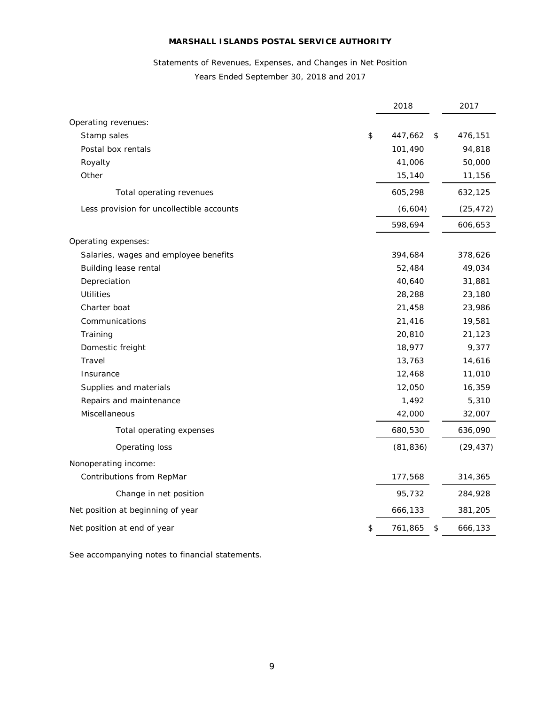# Statements of Revenues, Expenses, and Changes in Net Position Years Ended September 30, 2018 and 2017

|                                           | 2018          | 2017          |
|-------------------------------------------|---------------|---------------|
| Operating revenues:                       |               |               |
| Stamp sales                               | \$<br>447,662 | \$<br>476,151 |
| Postal box rentals                        | 101,490       | 94,818        |
| Royalty                                   | 41,006        | 50,000        |
| Other                                     | 15,140        | 11,156        |
| Total operating revenues                  | 605,298       | 632,125       |
| Less provision for uncollectible accounts | (6,604)       | (25, 472)     |
|                                           | 598,694       | 606,653       |
| Operating expenses:                       |               |               |
| Salaries, wages and employee benefits     | 394,684       | 378,626       |
| Building lease rental                     | 52,484        | 49,034        |
| Depreciation                              | 40,640        | 31,881        |
| <b>Utilities</b>                          | 28,288        | 23,180        |
| Charter boat                              | 21,458        | 23,986        |
| Communications                            | 21,416        | 19,581        |
| Training                                  | 20,810        | 21,123        |
| Domestic freight                          | 18,977        | 9,377         |
| Travel                                    | 13,763        | 14,616        |
| Insurance                                 | 12,468        | 11,010        |
| Supplies and materials                    | 12,050        | 16,359        |
| Repairs and maintenance                   | 1,492         | 5,310         |
| Miscellaneous                             | 42,000        | 32,007        |
| Total operating expenses                  | 680,530       | 636,090       |
| Operating loss                            | (81, 836)     | (29, 437)     |
| Nonoperating income:                      |               |               |
| Contributions from RepMar                 | 177,568       | 314,365       |
| Change in net position                    | 95,732        | 284,928       |
| Net position at beginning of year         | 666,133       | 381,205       |
| Net position at end of year               | \$<br>761,865 | \$<br>666,133 |
|                                           |               |               |

See accompanying notes to financial statements.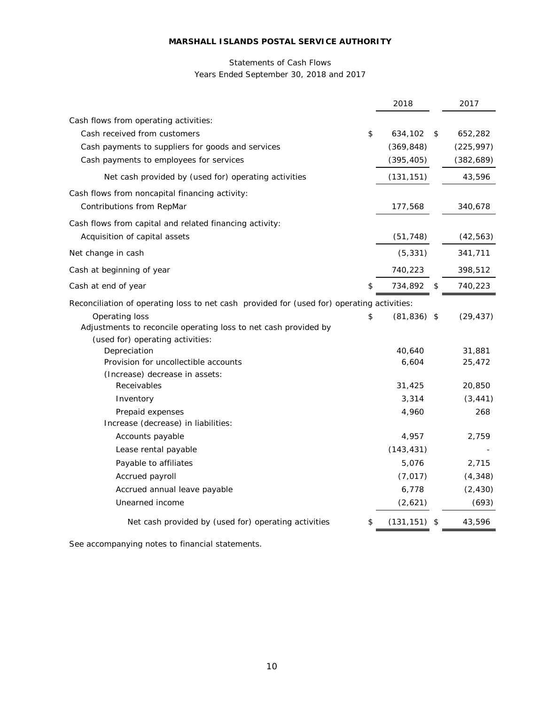# Statements of Cash Flows Years Ended September 30, 2018 and 2017

|                                                                                            | 2018                | 2017          |
|--------------------------------------------------------------------------------------------|---------------------|---------------|
| Cash flows from operating activities:                                                      |                     |               |
| Cash received from customers                                                               | \$<br>634,102       | \$<br>652,282 |
| Cash payments to suppliers for goods and services                                          | (369, 848)          | (225, 997)    |
| Cash payments to employees for services                                                    | (395, 405)          | (382, 689)    |
| Net cash provided by (used for) operating activities                                       | (131, 151)          | 43,596        |
| Cash flows from noncapital financing activity:                                             |                     |               |
| Contributions from RepMar                                                                  | 177,568             | 340,678       |
| Cash flows from capital and related financing activity:                                    |                     |               |
| Acquisition of capital assets                                                              | (51, 748)           | (42, 563)     |
| Net change in cash                                                                         | (5, 331)            | 341,711       |
| Cash at beginning of year                                                                  | 740,223             | 398,512       |
| Cash at end of year                                                                        | \$<br>734,892       | \$<br>740,223 |
| Reconciliation of operating loss to net cash provided for (used for) operating activities: |                     |               |
| Operating loss                                                                             | \$<br>$(81,836)$ \$ | (29, 437)     |
| Adjustments to reconcile operating loss to net cash provided by                            |                     |               |
| (used for) operating activities:                                                           |                     |               |
| Depreciation                                                                               | 40,640              | 31,881        |
| Provision for uncollectible accounts                                                       | 6,604               | 25,472        |
| (Increase) decrease in assets:                                                             |                     |               |
| Receivables                                                                                | 31,425              | 20,850        |
| Inventory                                                                                  | 3,314               | (3, 441)      |
| Prepaid expenses                                                                           | 4,960               | 268           |
| Increase (decrease) in liabilities:                                                        |                     |               |
| Accounts payable                                                                           | 4,957               | 2,759         |
| Lease rental payable                                                                       | (143, 431)          |               |
| Payable to affiliates                                                                      | 5,076               | 2,715         |
| Accrued payroll                                                                            | (7, 017)            | (4, 348)      |
| Accrued annual leave payable                                                               | 6,778               | (2, 430)      |
| Unearned income                                                                            | (2,621)             | (693)         |
| Net cash provided by (used for) operating activities                                       | \$<br>(131, 151)    | \$<br>43,596  |
|                                                                                            |                     |               |

See accompanying notes to financial statements.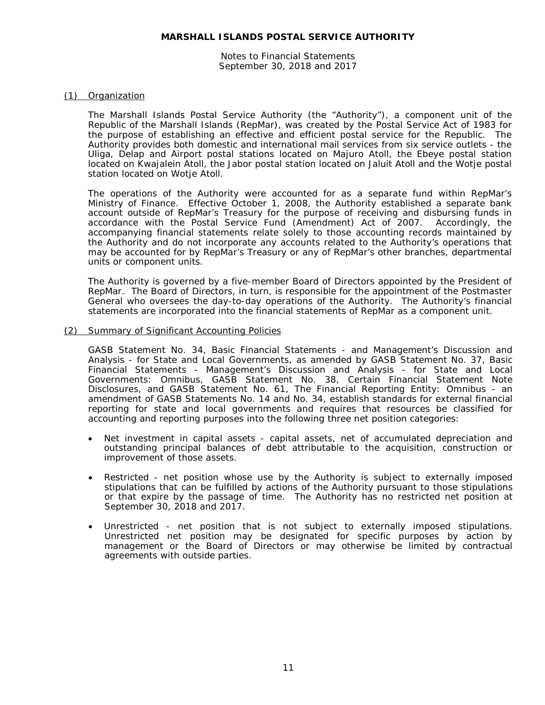Notes to Financial Statements September 30, 2018 and 2017

#### (1) Organization

The Marshall Islands Postal Service Authority (the "Authority"), a component unit of the Republic of the Marshall Islands (RepMar), was created by the Postal Service Act of 1983 for the purpose of establishing an effective and efficient postal service for the Republic. The Authority provides both domestic and international mail services from six service outlets - the Uliga, Delap and Airport postal stations located on Majuro Atoll, the Ebeye postal station located on Kwajalein Atoll, the Jabor postal station located on Jaluit Atoll and the Wotje postal station located on Wotje Atoll.

The operations of the Authority were accounted for as a separate fund within RepMar's Ministry of Finance. Effective October 1, 2008, the Authority established a separate bank account outside of RepMar's Treasury for the purpose of receiving and disbursing funds in accordance with the Postal Service Fund (Amendment) Act of 2007. Accordingly, the accompanying financial statements relate solely to those accounting records maintained by the Authority and do not incorporate any accounts related to the Authority's operations that may be accounted for by RepMar's Treasury or any of RepMar's other branches, departmental units or component units.

The Authority is governed by a five-member Board of Directors appointed by the President of RepMar. The Board of Directors, in turn, is responsible for the appointment of the Postmaster General who oversees the day-to-day operations of the Authority. The Authority's financial statements are incorporated into the financial statements of RepMar as a component unit.

#### (2) Summary of Significant Accounting Policies

GASB Statement No. 34, *Basic Financial Statements - and Management's Discussion and Analysis - for State and Local Governments*, as amended by GASB Statement No. 37, *Basic Financial Statements - Management's Discussion and Analysis - for State and Local Governments: Omnibus*, GASB Statement No. 38, *Certain Financial Statement Note Disclosures*, and GASB Statement No. 61, *The Financial Reporting Entity: Omnibus - an amendment of GASB Statements No. 14 and No. 34*, establish standards for external financial reporting for state and local governments and requires that resources be classified for accounting and reporting purposes into the following three net position categories:

- Net investment in capital assets capital assets, net of accumulated depreciation and outstanding principal balances of debt attributable to the acquisition, construction or improvement of those assets.
- Restricted net position whose use by the Authority is subject to externally imposed stipulations that can be fulfilled by actions of the Authority pursuant to those stipulations or that expire by the passage of time. The Authority has no restricted net position at September 30, 2018 and 2017.
- Unrestricted net position that is not subject to externally imposed stipulations. Unrestricted net position may be designated for specific purposes by action by management or the Board of Directors or may otherwise be limited by contractual agreements with outside parties.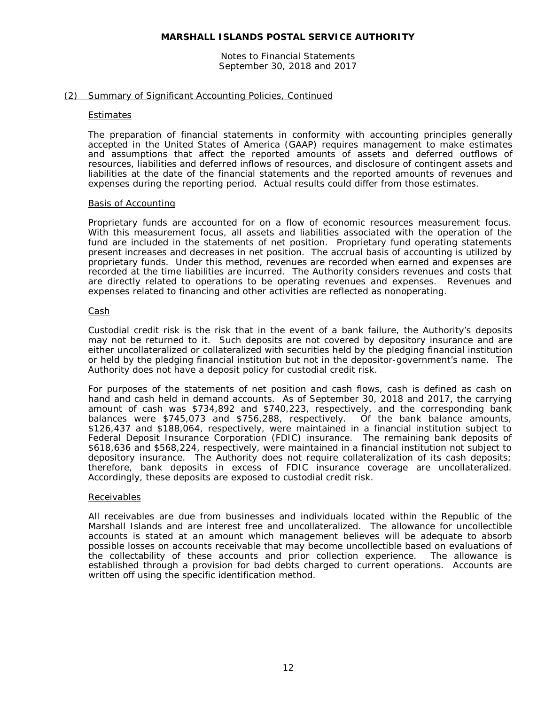Notes to Financial Statements September 30, 2018 and 2017

# (2) Summary of Significant Accounting Policies, Continued

#### Estimates

The preparation of financial statements in conformity with accounting principles generally accepted in the United States of America (GAAP) requires management to make estimates and assumptions that affect the reported amounts of assets and deferred outflows of resources, liabilities and deferred inflows of resources, and disclosure of contingent assets and liabilities at the date of the financial statements and the reported amounts of revenues and expenses during the reporting period. Actual results could differ from those estimates.

#### Basis of Accounting

Proprietary funds are accounted for on a flow of economic resources measurement focus. With this measurement focus, all assets and liabilities associated with the operation of the fund are included in the statements of net position. Proprietary fund operating statements present increases and decreases in net position. The accrual basis of accounting is utilized by proprietary funds. Under this method, revenues are recorded when earned and expenses are recorded at the time liabilities are incurred. The Authority considers revenues and costs that are directly related to operations to be operating revenues and expenses. Revenues and expenses related to financing and other activities are reflected as nonoperating.

#### Cash

Custodial credit risk is the risk that in the event of a bank failure, the Authority's deposits may not be returned to it. Such deposits are not covered by depository insurance and are either uncollateralized or collateralized with securities held by the pledging financial institution or held by the pledging financial institution but not in the depositor-government's name. The Authority does not have a deposit policy for custodial credit risk.

For purposes of the statements of net position and cash flows, cash is defined as cash on hand and cash held in demand accounts. As of September 30, 2018 and 2017, the carrying amount of cash was \$734,892 and \$740,223, respectively, and the corresponding bank<br>balances were \$745,073 and \$756,288, respectively. Of the bank balance amounts, balances were  $$745,073$  and  $$756,288$ , respectively. \$126,437 and \$188,064, respectively, were maintained in a financial institution subject to Federal Deposit Insurance Corporation (FDIC) insurance. The remaining bank deposits of \$618,636 and \$568,224, respectively, were maintained in a financial institution not subject to depository insurance. The Authority does not require collateralization of its cash deposits; therefore, bank deposits in excess of FDIC insurance coverage are uncollateralized. Accordingly, these deposits are exposed to custodial credit risk.

## Receivables

All receivables are due from businesses and individuals located within the Republic of the Marshall Islands and are interest free and uncollateralized. The allowance for uncollectible accounts is stated at an amount which management believes will be adequate to absorb possible losses on accounts receivable that may become uncollectible based on evaluations of the collectability of these accounts and prior collection experience. The allowance is established through a provision for bad debts charged to current operations. Accounts are written off using the specific identification method.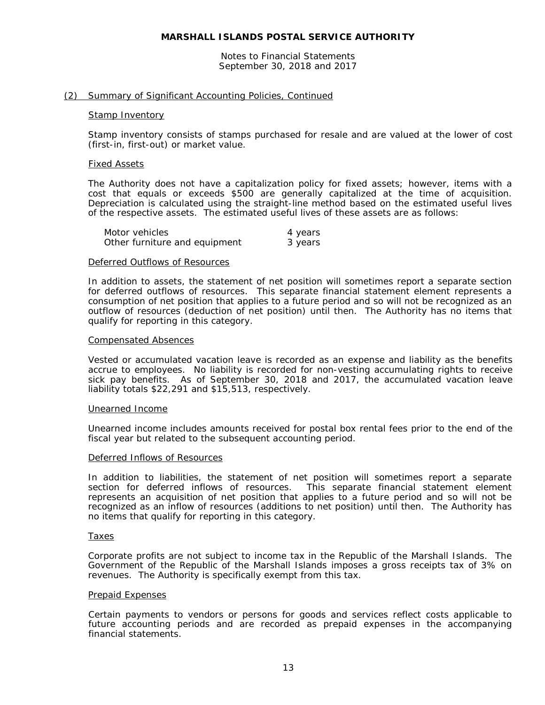Notes to Financial Statements September 30, 2018 and 2017

#### (2) Summary of Significant Accounting Policies, Continued

#### Stamp Inventory

Stamp inventory consists of stamps purchased for resale and are valued at the lower of cost (first-in, first-out) or market value.

#### Fixed Assets

The Authority does not have a capitalization policy for fixed assets; however, items with a cost that equals or exceeds \$500 are generally capitalized at the time of acquisition. Depreciation is calculated using the straight-line method based on the estimated useful lives of the respective assets. The estimated useful lives of these assets are as follows:

| Motor vehicles                | 4 years |
|-------------------------------|---------|
| Other furniture and equipment | 3 years |

#### Deferred Outflows of Resources

In addition to assets, the statement of net position will sometimes report a separate section for deferred outflows of resources. This separate financial statement element represents a consumption of net position that applies to a future period and so will not be recognized as an outflow of resources (deduction of net position) until then. The Authority has no items that qualify for reporting in this category.

#### Compensated Absences

Vested or accumulated vacation leave is recorded as an expense and liability as the benefits accrue to employees. No liability is recorded for non-vesting accumulating rights to receive sick pay benefits. As of September 30, 2018 and 2017, the accumulated vacation leave liability totals \$22,291 and \$15,513, respectively.

#### Unearned Income

Unearned income includes amounts received for postal box rental fees prior to the end of the fiscal year but related to the subsequent accounting period.

#### Deferred Inflows of Resources

In addition to liabilities, the statement of net position will sometimes report a separate section for deferred inflows of resources. This separate financial statement element represents an acquisition of net position that applies to a future period and so will not be recognized as an inflow of resources (additions to net position) until then. The Authority has no items that qualify for reporting in this category.

#### Taxes

Corporate profits are not subject to income tax in the Republic of the Marshall Islands. The Government of the Republic of the Marshall Islands imposes a gross receipts tax of 3% on revenues. The Authority is specifically exempt from this tax.

#### Prepaid Expenses

Certain payments to vendors or persons for goods and services reflect costs applicable to future accounting periods and are recorded as prepaid expenses in the accompanying financial statements.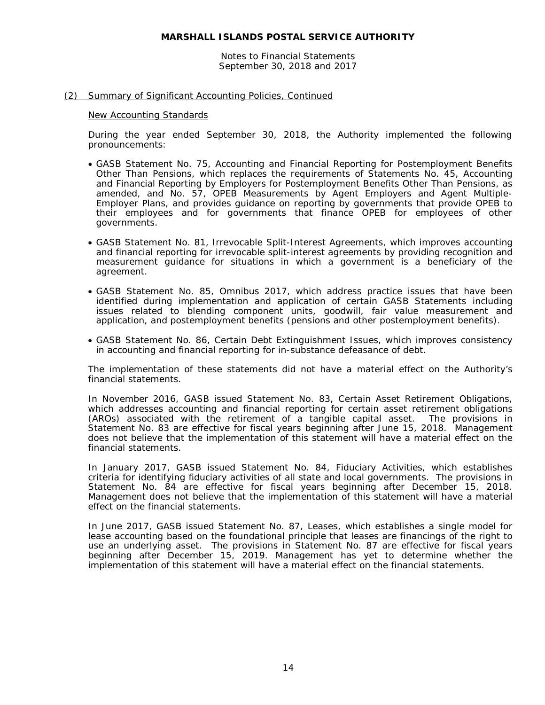Notes to Financial Statements September 30, 2018 and 2017

### (2) Summary of Significant Accounting Policies, Continued

# New Accounting Standards

During the year ended September 30, 2018, the Authority implemented the following pronouncements:

- GASB Statement No. 75, *Accounting and Financial Reporting for Postemployment Benefits Other Than Pensions*, which replaces the requirements of Statements No. 45, *Accounting and Financial Reporting by Employers for Postemployment Benefits Other Than Pensions*, as amended, and No. 57, *OPEB Measurements by Agent Employers and Agent Multiple-Employer Plans*, and provides guidance on reporting by governments that provide OPEB to their employees and for governments that finance OPEB for employees of other governments.
- GASB Statement No. 81, *Irrevocable Split-Interest Agreements,* which improves accounting and financial reporting for irrevocable split-interest agreements by providing recognition and measurement guidance for situations in which a government is a beneficiary of the agreement.
- GASB Statement No. 85, *Omnibus 2017*, which address practice issues that have been identified during implementation and application of certain GASB Statements including issues related to blending component units, goodwill, fair value measurement and application, and postemployment benefits (pensions and other postemployment benefits).
- GASB Statement No. 86, *Certain Debt Extinguishment Issues*, which improves consistency in accounting and financial reporting for in-substance defeasance of debt.

The implementation of these statements did not have a material effect on the Authority's financial statements.

In November 2016, GASB issued Statement No. 83, *Certain Asset Retirement Obligations*, which addresses accounting and financial reporting for certain asset retirement obligations (AROs) associated with the retirement of a tangible capital asset. The provisions in Statement No. 83 are effective for fiscal years beginning after June 15, 2018. Management does not believe that the implementation of this statement will have a material effect on the financial statements.

In January 2017, GASB issued Statement No. 84, *Fiduciary Activities*, which establishes criteria for identifying fiduciary activities of all state and local governments. The provisions in Statement No. 84 are effective for fiscal years beginning after December 15, 2018. Management does not believe that the implementation of this statement will have a material effect on the financial statements.

In June 2017, GASB issued Statement No. 87, *Leases*, which establishes a single model for lease accounting based on the foundational principle that leases are financings of the right to use an underlying asset. The provisions in Statement No. 87 are effective for fiscal years beginning after December 15, 2019. Management has yet to determine whether the implementation of this statement will have a material effect on the financial statements.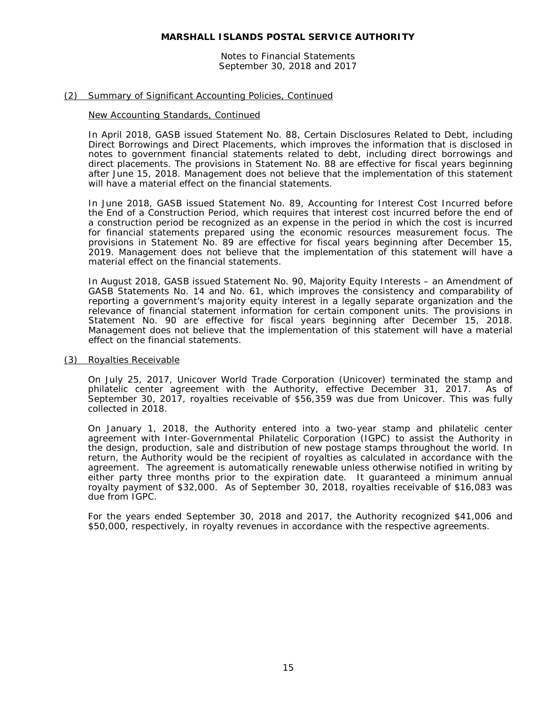Notes to Financial Statements September 30, 2018 and 2017

# (2) Summary of Significant Accounting Policies, Continued

# New Accounting Standards, Continued

In April 2018, GASB issued Statement No. 88, *Certain Disclosures Related to Debt, including Direct Borrowings and Direct Placements*, which improves the information that is disclosed in notes to government financial statements related to debt, including direct borrowings and direct placements. The provisions in Statement No. 88 are effective for fiscal years beginning after June 15, 2018. Management does not believe that the implementation of this statement will have a material effect on the financial statements.

In June 2018, GASB issued Statement No. 89, *Accounting for Interest Cost Incurred before the End of a Construction Period*, which requires that interest cost incurred before the end of a construction period be recognized as an expense in the period in which the cost is incurred for financial statements prepared using the economic resources measurement focus. The provisions in Statement No. 89 are effective for fiscal years beginning after December 15, 2019. Management does not believe that the implementation of this statement will have a material effect on the financial statements.

In August 2018, GASB issued Statement No. 90, *Majority Equity Interests – an Amendment of GASB Statements No. 14 and No. 61,* which improves the consistency and comparability of reporting a government's majority equity interest in a legally separate organization and the relevance of financial statement information for certain component units. The provisions in Statement No. 90 are effective for fiscal years beginning after December 15, 2018. Management does not believe that the implementation of this statement will have a material effect on the financial statements.

## (3) Royalties Receivable

On July 25, 2017, Unicover World Trade Corporation (Unicover) terminated the stamp and philatelic center agreement with the Authority, effective December 31, 2017. As of September 30, 2017, royalties receivable of \$56,359 was due from Unicover. This was fully collected in 2018.

On January 1, 2018, the Authority entered into a two-year stamp and philatelic center agreement with Inter-Governmental Philatelic Corporation (IGPC) to assist the Authority in the design, production, sale and distribution of new postage stamps throughout the world. In return, the Authority would be the recipient of royalties as calculated in accordance with the agreement. The agreement is automatically renewable unless otherwise notified in writing by either party three months prior to the expiration date. It guaranteed a minimum annual royalty payment of \$32,000. As of September 30, 2018, royalties receivable of \$16,083 was due from IGPC.

For the years ended September 30, 2018 and 2017, the Authority recognized \$41,006 and \$50,000, respectively, in royalty revenues in accordance with the respective agreements.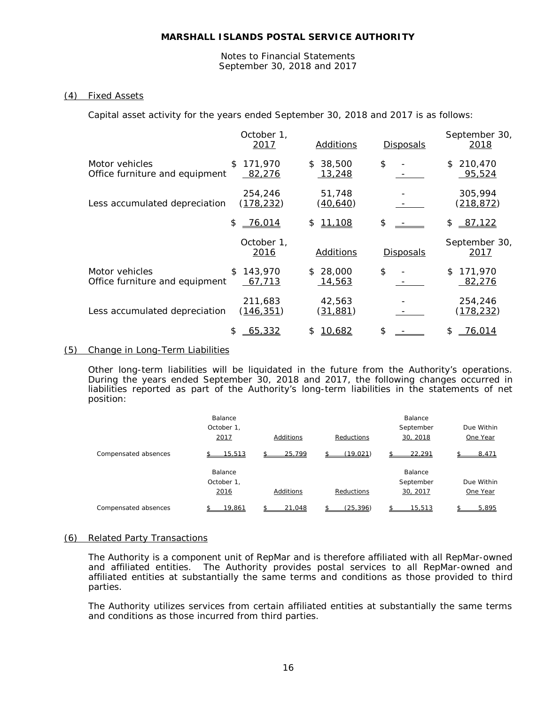Notes to Financial Statements September 30, 2018 and 2017

# (4) Fixed Assets

Capital asset activity for the years ended September 30, 2018 and 2017 is as follows:

|                                                  | October 1.<br>2017          | Additions                     | <b>Disposals</b> | September 30,<br>2018   |
|--------------------------------------------------|-----------------------------|-------------------------------|------------------|-------------------------|
| Motor vehicles<br>Office furniture and equipment | 171,970<br>S<br>82,276      | 38,500<br>\$<br>13,248        | \$               | 210,470<br>\$<br>95,524 |
| Less accumulated depreciation                    | 254,246<br><u>(178,232)</u> | 51,748<br><u>(40,640)</u>     |                  | 305,994<br>(218, 872)   |
|                                                  | 76,014<br>\$                | 11,108<br>\$                  | \$               | \$<br>87,122            |
|                                                  | October 1,<br>2016          | Additions                     | <b>Disposals</b> | September 30,<br>2017   |
| Motor vehicles<br>Office furniture and equipment | 143,970<br>\$.<br>67,713    | 28,000<br>\$<br><u>14,563</u> | \$               | 171,970<br>\$<br>82,276 |
| Less accumulated depreciation                    | 211,683<br><u>(146,351)</u> | 42,563<br>(31, 881)           |                  | 254,246<br>(178, 232)   |
|                                                  | 65,332<br>S                 | 10,682<br>\$                  | \$               | 76,014                  |

# (5) Change in Long-Term Liabilities

Other long-term liabilities will be liquidated in the future from the Authority's operations. During the years ended September 30, 2018 and 2017, the following changes occurred in liabilities reported as part of the Authority's long-term liabilities in the statements of net position:

|                      | Balance<br>October 1.<br>2017 | Additions | Reductions | Balance<br>September<br>30, 2018 | Due Within<br>One Year |
|----------------------|-------------------------------|-----------|------------|----------------------------------|------------------------|
| Compensated absences | 15,513                        | 25.799    | (19.021)   | 22.291                           | 8.471                  |
|                      | Balance<br>October 1,<br>2016 | Additions | Reductions | Balance<br>September<br>30, 2017 | Due Within<br>One Year |
| Compensated absences | 19.861                        | 21.048    | (25.396)   | 15,513                           | 5.895                  |

## (6) Related Party Transactions

The Authority is a component unit of RepMar and is therefore affiliated with all RepMar-owned and affiliated entities. The Authority provides postal services to all RepMar-owned and affiliated entities at substantially the same terms and conditions as those provided to third parties.

The Authority utilizes services from certain affiliated entities at substantially the same terms and conditions as those incurred from third parties.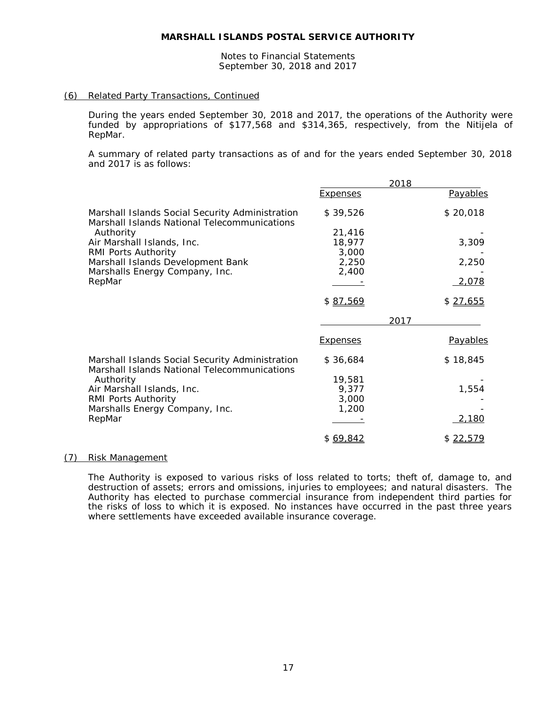Notes to Financial Statements September 30, 2018 and 2017

# (6) Related Party Transactions, Continued

During the years ended September 30, 2018 and 2017, the operations of the Authority were funded by appropriations of \$177,568 and \$314,365, respectively, from the Nitijela of RepMar.

A summary of related party transactions as of and for the years ended September 30, 2018 and 2017 is as follows:

|                                                                                                 |                 | 2018 |                 |
|-------------------------------------------------------------------------------------------------|-----------------|------|-----------------|
|                                                                                                 | <b>Expenses</b> |      | Payables        |
| Marshall Islands Social Security Administration<br>Marshall Islands National Telecommunications | \$39,526        |      | \$20,018        |
| Authority                                                                                       | 21,416          |      |                 |
| Air Marshall Islands, Inc.                                                                      | 18,977          |      | 3,309           |
| RMI Ports Authority                                                                             | 3,000           |      |                 |
| Marshall Islands Development Bank                                                               | 2,250           |      | 2,250           |
| Marshalls Energy Company, Inc.                                                                  | 2,400           |      |                 |
| RepMar                                                                                          |                 |      | 2,078           |
|                                                                                                 | \$87,569        |      | \$27,655        |
|                                                                                                 |                 | 2017 |                 |
|                                                                                                 | <b>Expenses</b> |      | <b>Payables</b> |
| Marshall Islands Social Security Administration<br>Marshall Islands National Telecommunications | \$36,684        |      | \$18,845        |
| Authority                                                                                       | 19,581          |      |                 |
| Air Marshall Islands, Inc.                                                                      | 9,377           |      | 1,554           |
| RMI Ports Authority                                                                             | 3,000           |      |                 |
| Marshalls Energy Company, Inc.                                                                  | 1,200           |      |                 |
| RepMar                                                                                          |                 |      | 2,180           |
|                                                                                                 | \$69,842        |      | \$22,579        |

# (7) Risk Management

The Authority is exposed to various risks of loss related to torts; theft of, damage to, and destruction of assets; errors and omissions, injuries to employees; and natural disasters. The Authority has elected to purchase commercial insurance from independent third parties for the risks of loss to which it is exposed. No instances have occurred in the past three years where settlements have exceeded available insurance coverage.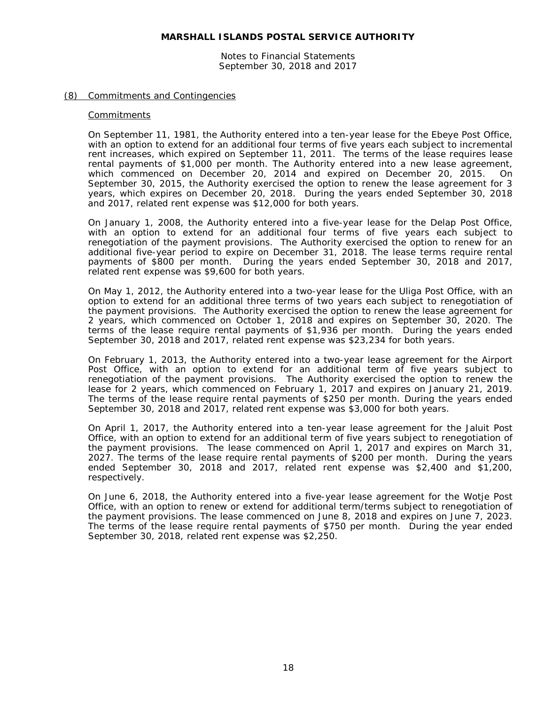Notes to Financial Statements September 30, 2018 and 2017

### (8) Commitments and Contingencies

#### **Commitments**

On September 11, 1981, the Authority entered into a ten-year lease for the Ebeye Post Office, with an option to extend for an additional four terms of five years each subject to incremental rent increases, which expired on September 11, 2011. The terms of the lease requires lease rental payments of \$1,000 per month. The Authority entered into a new lease agreement, which commenced on December 20, 2014 and expired on December 20, 2015. On September 30, 2015, the Authority exercised the option to renew the lease agreement for 3 years, which expires on December 20, 2018. During the years ended September 30, 2018 and 2017, related rent expense was \$12,000 for both years.

On January 1, 2008, the Authority entered into a five-year lease for the Delap Post Office, with an option to extend for an additional four terms of five years each subject to renegotiation of the payment provisions. The Authority exercised the option to renew for an additional five-year period to expire on December 31, 2018. The lease terms require rental payments of \$800 per month. During the years ended September 30, 2018 and 2017, related rent expense was \$9,600 for both years.

On May 1, 2012, the Authority entered into a two-year lease for the Uliga Post Office, with an option to extend for an additional three terms of two years each subject to renegotiation of the payment provisions. The Authority exercised the option to renew the lease agreement for 2 years, which commenced on October 1, 2018 and expires on September 30, 2020. The terms of the lease require rental payments of \$1,936 per month. During the years ended September 30, 2018 and 2017, related rent expense was \$23,234 for both years.

On February 1, 2013, the Authority entered into a two-year lease agreement for the Airport Post Office, with an option to extend for an additional term of five years subject to renegotiation of the payment provisions. The Authority exercised the option to renew the lease for 2 years, which commenced on February 1, 2017 and expires on January 21, 2019. The terms of the lease require rental payments of \$250 per month. During the years ended September 30, 2018 and 2017, related rent expense was \$3,000 for both years.

On April 1, 2017, the Authority entered into a ten-year lease agreement for the Jaluit Post Office, with an option to extend for an additional term of five years subject to renegotiation of the payment provisions. The lease commenced on April 1, 2017 and expires on March 31, 2027. The terms of the lease require rental payments of \$200 per month. During the years ended September 30, 2018 and 2017, related rent expense was \$2,400 and \$1,200, respectively.

On June 6, 2018, the Authority entered into a five-year lease agreement for the Wotje Post Office, with an option to renew or extend for additional term/terms subject to renegotiation of the payment provisions. The lease commenced on June 8, 2018 and expires on June 7, 2023. The terms of the lease require rental payments of \$750 per month. During the year ended September 30, 2018, related rent expense was \$2,250.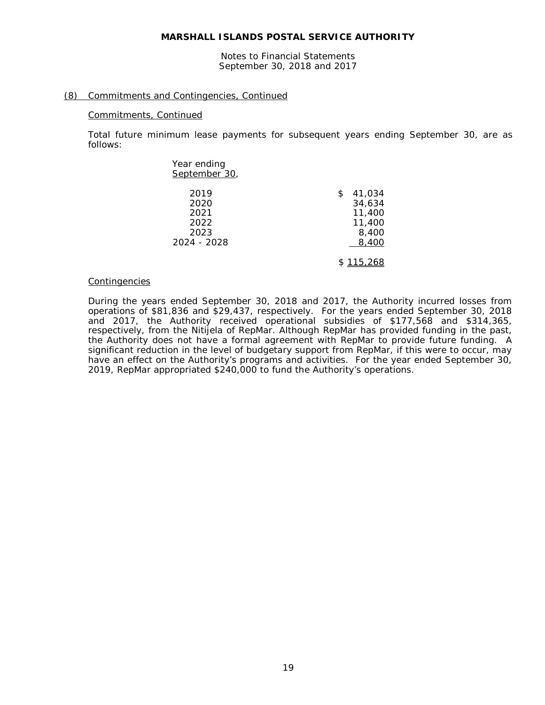Notes to Financial Statements September 30, 2018 and 2017

## (8) Commitments and Contingencies, Continued

#### Commitments, Continued

Total future minimum lease payments for subsequent years ending September 30, are as follows:

| Year ending<br>September 30, |              |
|------------------------------|--------------|
| 2019                         | 41,034<br>\$ |
| 2020                         | 34,634       |
| 2021                         | 11,400       |
| 2022                         | 11,400       |
| 2023                         | 8,400        |
| 2024 - 2028                  | 8,400        |
|                              | \$115,268    |

#### Contingencies

During the years ended September 30, 2018 and 2017, the Authority incurred losses from operations of \$81,836 and \$29,437, respectively. For the years ended September 30, 2018 and 2017, the Authority received operational subsidies of \$177,568 and \$314,365, respectively, from the Nitijela of RepMar. Although RepMar has provided funding in the past, the Authority does not have a formal agreement with RepMar to provide future funding. A significant reduction in the level of budgetary support from RepMar, if this were to occur, may have an effect on the Authority's programs and activities. For the year ended September 30, 2019, RepMar appropriated \$240,000 to fund the Authority's operations.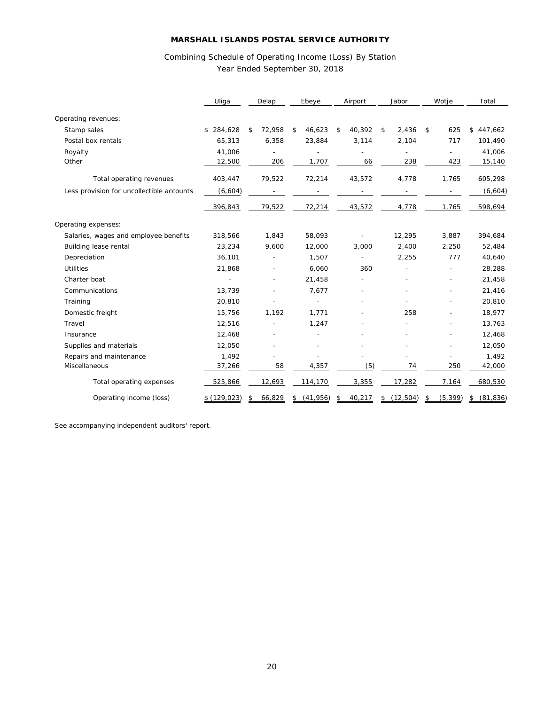# Combining Schedule of Operating Income (Loss) By Station Year Ended September 30, 2018

|                                           | Uliga       | Delap |        | Ebeye |           | Airport |        | Jabor |           | Wotje |                          | Total           |
|-------------------------------------------|-------------|-------|--------|-------|-----------|---------|--------|-------|-----------|-------|--------------------------|-----------------|
| Operating revenues:                       |             |       |        |       |           |         |        |       |           |       |                          |                 |
| Stamp sales                               | \$284,628   | \$    | 72,958 | \$    | 46,623    | \$      | 40,392 | \$    | 2,436     | \$    | 625                      | 447,662<br>\$   |
| Postal box rentals                        | 65,313      |       | 6,358  |       | 23,884    |         | 3,114  |       | 2,104     |       | 717                      | 101,490         |
| Royalty                                   | 41,006      |       |        |       |           |         |        |       |           |       | ÷,                       | 41,006          |
| Other                                     | 12,500      |       | 206    |       | 1,707     |         | 66     |       | 238       |       | 423                      | 15,140          |
| Total operating revenues                  | 403,447     |       | 79,522 |       | 72,214    |         | 43,572 |       | 4,778     |       | 1,765                    | 605,298         |
| Less provision for uncollectible accounts | (6,604)     |       |        |       |           |         |        |       |           |       |                          | (6,604)         |
|                                           | 396,843     |       | 79,522 |       | 72,214    |         | 43,572 |       | 4,778     |       | 1,765                    | 598,694         |
| Operating expenses:                       |             |       |        |       |           |         |        |       |           |       |                          |                 |
| Salaries, wages and employee benefits     | 318,566     |       | 1,843  |       | 58,093    |         |        |       | 12,295    |       | 3,887                    | 394,684         |
| Building lease rental                     | 23,234      |       | 9,600  |       | 12,000    |         | 3,000  |       | 2,400     |       | 2,250                    | 52,484          |
| Depreciation                              | 36,101      |       |        |       | 1,507     |         |        |       | 2,255     |       | 777                      | 40,640          |
| Utilities                                 | 21,868      |       |        |       | 6,060     |         | 360    |       |           |       | $\overline{\phantom{0}}$ | 28,288          |
| Charter boat                              |             |       |        |       | 21,458    |         |        |       |           |       | $\overline{\phantom{0}}$ | 21,458          |
| Communications                            | 13,739      |       |        |       | 7,677     |         |        |       |           |       |                          | 21,416          |
| Training                                  | 20,810      |       |        |       |           |         |        |       |           |       | $\overline{a}$           | 20,810          |
| Domestic freight                          | 15,756      |       | 1,192  |       | 1,771     |         |        |       | 258       |       |                          | 18,977          |
| Travel                                    | 12,516      |       |        |       | 1,247     |         |        |       |           |       |                          | 13,763          |
| Insurance                                 | 12,468      |       |        |       |           |         |        |       |           |       | ٠                        | 12,468          |
| Supplies and materials                    | 12,050      |       |        |       |           |         |        |       |           |       |                          | 12,050          |
| Repairs and maintenance                   | 1,492       |       |        |       |           |         |        |       |           |       |                          | 1,492           |
| Miscellaneous                             | 37,266      |       | 58     |       | 4,357     |         | (5)    |       | 74        |       | 250                      | 42,000          |
| Total operating expenses                  | 525,866     |       | 12,693 |       | 114,170   |         | 3,355  |       | 17,282    |       | 7,164                    | 680,530         |
| Operating income (loss)                   | \$(129,023) | \$    | 66,829 | \$    | (41, 956) | \$      | 40,217 | \$    | (12, 504) | \$    | (5, 399)                 | (81, 836)<br>\$ |

See accompanying independent auditors' report.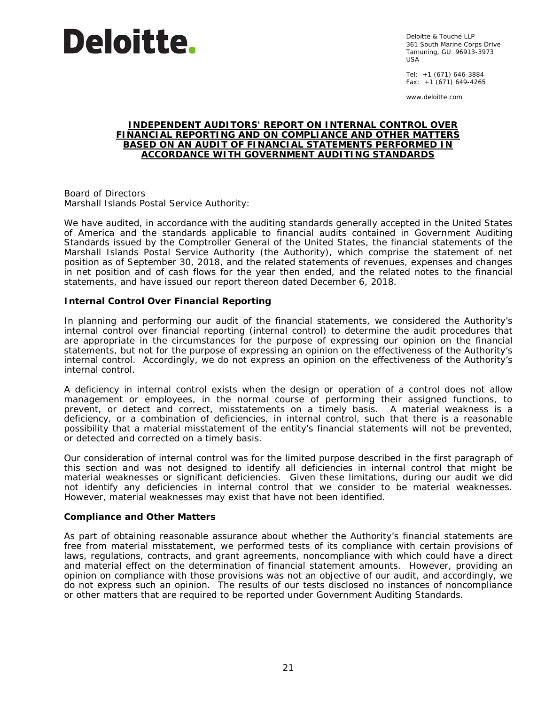

Deloitte & Touche LLP 361 South Marine Corps Drive Tamuning, GU 96913-3973 USA

Tel: +1 (671) 646-3884 Fax:  $+1$  (671) 649-4265

www.deloitte.com

#### **INDEPENDENT AUDITORS' REPORT ON INTERNAL CONTROL OVER FINANCIAL REPORTING AND ON COMPLIANCE AND OTHER MATTERS BASED ON AN AUDIT OF FINANCIAL STATEMENTS PERFORMED IN ACCORDANCE WITH** *GOVERNMENT AUDITING STANDARDS*

Board of Directors Marshall Islands Postal Service Authority:

We have audited, in accordance with the auditing standards generally accepted in the United States of America and the standards applicable to financial audits contained in *Government Auditing Standards* issued by the Comptroller General of the United States, the financial statements of the Marshall Islands Postal Service Authority (the Authority), which comprise the statement of net position as of September 30, 2018, and the related statements of revenues, expenses and changes in net position and of cash flows for the year then ended, and the related notes to the financial statements, and have issued our report thereon dated December 6, 2018.

# **Internal Control Over Financial Reporting**

In planning and performing our audit of the financial statements, we considered the Authority's internal control over financial reporting (internal control) to determine the audit procedures that are appropriate in the circumstances for the purpose of expressing our opinion on the financial statements, but not for the purpose of expressing an opinion on the effectiveness of the Authority's internal control. Accordingly, we do not express an opinion on the effectiveness of the Authority's internal control.

A *deficiency in internal control* exists when the design or operation of a control does not allow management or employees, in the normal course of performing their assigned functions, to prevent, or detect and correct, misstatements on a timely basis. A *material weakness* is a deficiency, or a combination of deficiencies, in internal control, such that there is a reasonable possibility that a material misstatement of the entity's financial statements will not be prevented, or detected and corrected on a timely basis.

Our consideration of internal control was for the limited purpose described in the first paragraph of this section and was not designed to identify all deficiencies in internal control that might be material weaknesses or significant deficiencies. Given these limitations, during our audit we did not identify any deficiencies in internal control that we consider to be material weaknesses. However, material weaknesses may exist that have not been identified.

## **Compliance and Other Matters**

As part of obtaining reasonable assurance about whether the Authority's financial statements are free from material misstatement, we performed tests of its compliance with certain provisions of laws, regulations, contracts, and grant agreements, noncompliance with which could have a direct and material effect on the determination of financial statement amounts. However, providing an opinion on compliance with those provisions was not an objective of our audit, and accordingly, we do not express such an opinion. The results of our tests disclosed no instances of noncompliance or other matters that are required to be reported under *Government Auditing Standards.*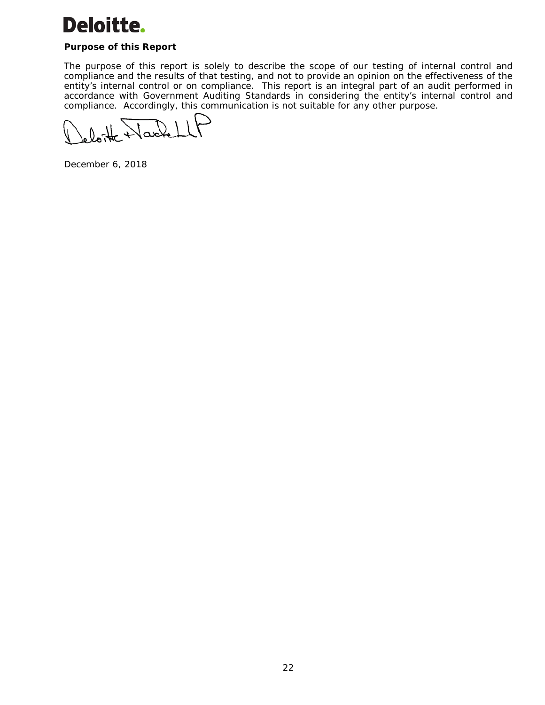# Deloitte.

# **Purpose of this Report**

The purpose of this report is solely to describe the scope of our testing of internal control and compliance and the results of that testing, and not to provide an opinion on the effectiveness of the entity's internal control or on compliance. This report is an integral part of an audit performed in accordance with *Government Auditing Standards* in considering the entity's internal control and compliance. Accordingly, this communication is not suitable for any other purpose.

December 6, 2018